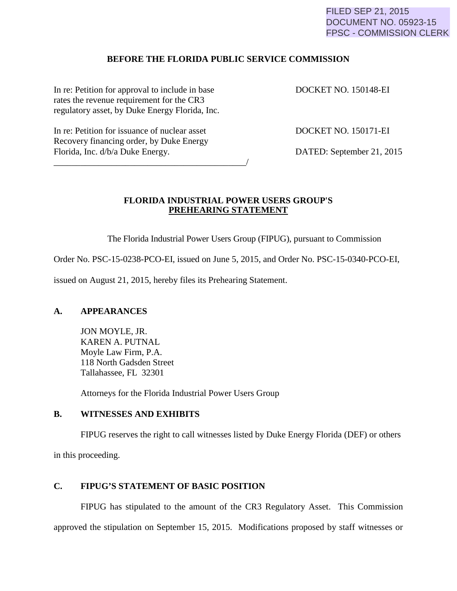FILED SEP 21, 2015 DOCUMENT NO. 05923-15 FPSC - COMMISSION CLERK

#### **BEFORE THE FLORIDA PUBLIC SERVICE COMMISSION**

In re: Petition for approval to include in base DOCKET NO. 150148-EI rates the revenue requirement for the CR3 regulatory asset, by Duke Energy Florida, Inc.

In re: Petition for issuance of nuclear asset DOCKET NO. 150171-EI Recovery financing order, by Duke Energy Florida, Inc. d/b/a Duke Energy. DATED: September 21, 2015

\_\_\_\_\_\_\_\_\_\_\_\_\_\_\_\_\_\_\_\_\_\_\_\_\_\_\_\_\_\_\_\_\_\_\_\_\_\_\_\_\_\_\_/

### **FLORIDA INDUSTRIAL POWER USERS GROUP'S PREHEARING STATEMENT**

The Florida Industrial Power Users Group (FIPUG), pursuant to Commission

Order No. PSC-15-0238-PCO-EI, issued on June 5, 2015, and Order No. PSC-15-0340-PCO-EI,

issued on August 21, 2015, hereby files its Prehearing Statement.

## **A. APPEARANCES**

JON MOYLE, JR. KAREN A. PUTNAL Moyle Law Firm, P.A. 118 North Gadsden Street Tallahassee, FL 32301

Attorneys for the Florida Industrial Power Users Group

#### **B. WITNESSES AND EXHIBITS**

FIPUG reserves the right to call witnesses listed by Duke Energy Florida (DEF) or others

in this proceeding.

## **C. FIPUG'S STATEMENT OF BASIC POSITION**

FIPUG has stipulated to the amount of the CR3 Regulatory Asset. This Commission approved the stipulation on September 15, 2015. Modifications proposed by staff witnesses or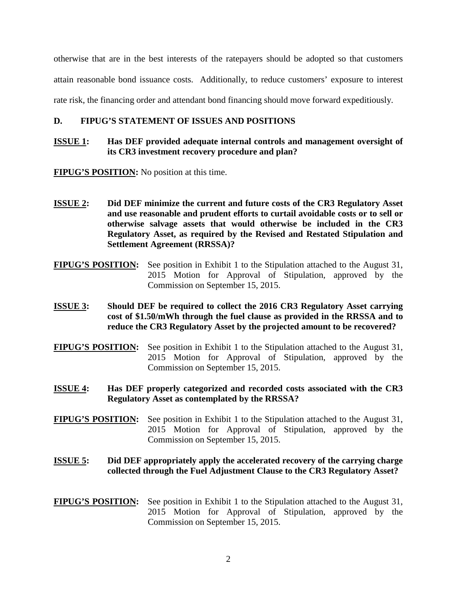otherwise that are in the best interests of the ratepayers should be adopted so that customers attain reasonable bond issuance costs. Additionally, to reduce customers' exposure to interest rate risk, the financing order and attendant bond financing should move forward expeditiously.

## **D. FIPUG'S STATEMENT OF ISSUES AND POSITIONS**

## **ISSUE 1: Has DEF provided adequate internal controls and management oversight of its CR3 investment recovery procedure and plan?**

**FIPUG'S POSITION:** No position at this time.

- **ISSUE 2: Did DEF minimize the current and future costs of the CR3 Regulatory Asset and use reasonable and prudent efforts to curtail avoidable costs or to sell or otherwise salvage assets that would otherwise be included in the CR3 Regulatory Asset, as required by the Revised and Restated Stipulation and Settlement Agreement (RRSSA)?**
- **FIPUG'S POSITION:** See position in Exhibit 1 to the Stipulation attached to the August 31, 2015 Motion for Approval of Stipulation, approved by the Commission on September 15, 2015.
- **ISSUE 3: Should DEF be required to collect the 2016 CR3 Regulatory Asset carrying cost of \$1.50/mWh through the fuel clause as provided in the RRSSA and to reduce the CR3 Regulatory Asset by the projected amount to be recovered?**
- **FIPUG'S POSITION:** See position in Exhibit 1 to the Stipulation attached to the August 31, 2015 Motion for Approval of Stipulation, approved by the Commission on September 15, 2015.
- **ISSUE 4: Has DEF properly categorized and recorded costs associated with the CR3 Regulatory Asset as contemplated by the RRSSA?**
- **FIPUG'S POSITION:** See position in Exhibit 1 to the Stipulation attached to the August 31, 2015 Motion for Approval of Stipulation, approved by the Commission on September 15, 2015.

# **ISSUE 5: Did DEF appropriately apply the accelerated recovery of the carrying charge collected through the Fuel Adjustment Clause to the CR3 Regulatory Asset?**

**FIPUG'S POSITION:** See position in Exhibit 1 to the Stipulation attached to the August 31, 2015 Motion for Approval of Stipulation, approved by the Commission on September 15, 2015.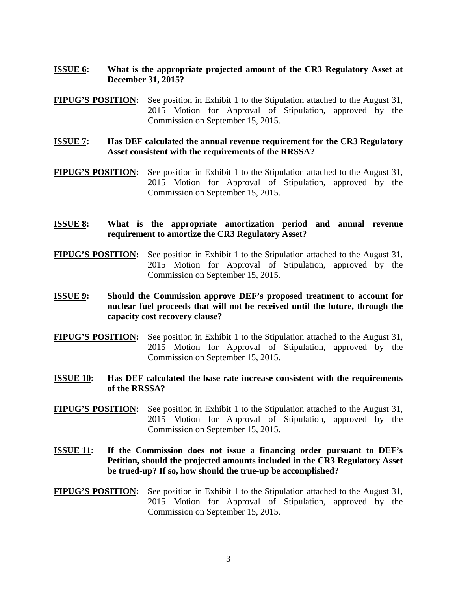- **ISSUE 6: What is the appropriate projected amount of the CR3 Regulatory Asset at December 31, 2015?**
- **FIPUG'S POSITION:** See position in Exhibit 1 to the Stipulation attached to the August 31, 2015 Motion for Approval of Stipulation, approved by the Commission on September 15, 2015.
- **ISSUE 7: Has DEF calculated the annual revenue requirement for the CR3 Regulatory Asset consistent with the requirements of the RRSSA?**
- **FIPUG'S POSITION:** See position in Exhibit 1 to the Stipulation attached to the August 31, 2015 Motion for Approval of Stipulation, approved by the Commission on September 15, 2015.
- **ISSUE 8: What is the appropriate amortization period and annual revenue requirement to amortize the CR3 Regulatory Asset?**
- **FIPUG'S POSITION:** See position in Exhibit 1 to the Stipulation attached to the August 31, 2015 Motion for Approval of Stipulation, approved by the Commission on September 15, 2015.
- **ISSUE 9: Should the Commission approve DEF's proposed treatment to account for nuclear fuel proceeds that will not be received until the future, through the capacity cost recovery clause?**
- **FIPUG'S POSITION:** See position in Exhibit 1 to the Stipulation attached to the August 31, 2015 Motion for Approval of Stipulation, approved by the Commission on September 15, 2015.
- **ISSUE 10: Has DEF calculated the base rate increase consistent with the requirements of the RRSSA?**
- **FIPUG'S POSITION:** See position in Exhibit 1 to the Stipulation attached to the August 31, 2015 Motion for Approval of Stipulation, approved by the Commission on September 15, 2015.
- **ISSUE 11: If the Commission does not issue a financing order pursuant to DEF's Petition, should the projected amounts included in the CR3 Regulatory Asset be trued-up? If so, how should the true-up be accomplished?**
- **FIPUG'S POSITION:** See position in Exhibit 1 to the Stipulation attached to the August 31, 2015 Motion for Approval of Stipulation, approved by the Commission on September 15, 2015.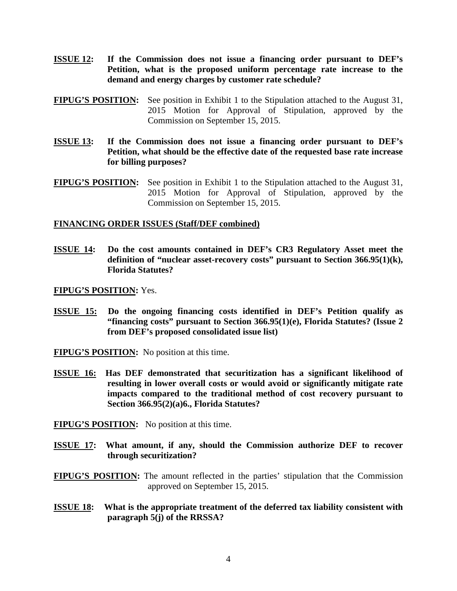- **ISSUE 12: If the Commission does not issue a financing order pursuant to DEF's Petition, what is the proposed uniform percentage rate increase to the demand and energy charges by customer rate schedule?**
- **FIPUG'S POSITION:** See position in Exhibit 1 to the Stipulation attached to the August 31, 2015 Motion for Approval of Stipulation, approved by the Commission on September 15, 2015.
- **ISSUE 13: If the Commission does not issue a financing order pursuant to DEF's Petition, what should be the effective date of the requested base rate increase for billing purposes?**
- **FIPUG'S POSITION:** See position in Exhibit 1 to the Stipulation attached to the August 31, 2015 Motion for Approval of Stipulation, approved by the Commission on September 15, 2015.

## **FINANCING ORDER ISSUES (Staff/DEF combined)**

**ISSUE 14: Do the cost amounts contained in DEF's CR3 Regulatory Asset meet the definition of "nuclear asset-recovery costs" pursuant to Section 366.95(1)(k), Florida Statutes?** 

**FIPUG'S POSITION:** Yes.

**ISSUE 15: Do the ongoing financing costs identified in DEF's Petition qualify as "financing costs" pursuant to Section 366.95(1)(e), Florida Statutes? (Issue 2 from DEF's proposed consolidated issue list)**

**FIPUG'S POSITION:** No position at this time.

**ISSUE 16: Has DEF demonstrated that securitization has a significant likelihood of resulting in lower overall costs or would avoid or significantly mitigate rate impacts compared to the traditional method of cost recovery pursuant to Section 366.95(2)(a)6., Florida Statutes?** 

**FIPUG'S POSITION:** No position at this time.

**ISSUE 17: What amount, if any, should the Commission authorize DEF to recover through securitization?**

**FIPUG'S POSITION:** The amount reflected in the parties' stipulation that the Commission approved on September 15, 2015.

**ISSUE 18: What is the appropriate treatment of the deferred tax liability consistent with paragraph 5(j) of the RRSSA?**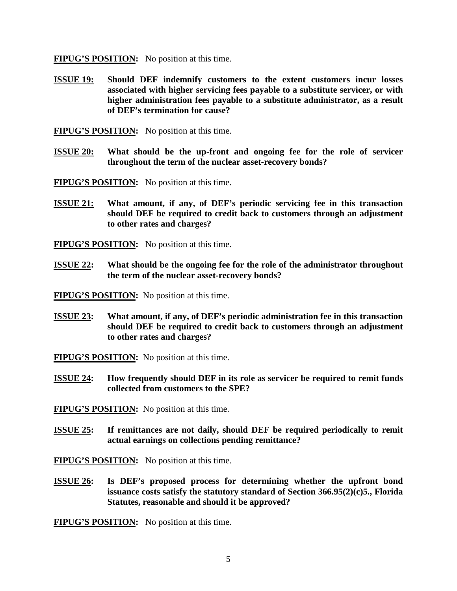**FIPUG'S POSITION:** No position at this time.

**ISSUE 19: Should DEF indemnify customers to the extent customers incur losses associated with higher servicing fees payable to a substitute servicer, or with higher administration fees payable to a substitute administrator, as a result of DEF's termination for cause?** 

**FIPUG'S POSITION:** No position at this time.

**ISSUE 20: What should be the up-front and ongoing fee for the role of servicer throughout the term of the nuclear asset-recovery bonds?** 

**FIPUG'S POSITION:** No position at this time.

**ISSUE 21: What amount, if any, of DEF's periodic servicing fee in this transaction should DEF be required to credit back to customers through an adjustment to other rates and charges?**

**FIPUG'S POSITION:** No position at this time.

**ISSUE 22: What should be the ongoing fee for the role of the administrator throughout the term of the nuclear asset-recovery bonds?** 

**FIPUG'S POSITION:** No position at this time.

**ISSUE 23: What amount, if any, of DEF's periodic administration fee in this transaction should DEF be required to credit back to customers through an adjustment to other rates and charges?**

**FIPUG'S POSITION:** No position at this time.

**ISSUE 24: How frequently should DEF in its role as servicer be required to remit funds collected from customers to the SPE?**

**FIPUG'S POSITION:** No position at this time.

**ISSUE 25: If remittances are not daily, should DEF be required periodically to remit actual earnings on collections pending remittance?** 

**FIPUG'S POSITION:** No position at this time.

**ISSUE 26: Is DEF's proposed process for determining whether the upfront bond issuance costs satisfy the statutory standard of Section 366.95(2)(c)5., Florida Statutes, reasonable and should it be approved?**

**FIPUG'S POSITION:** No position at this time.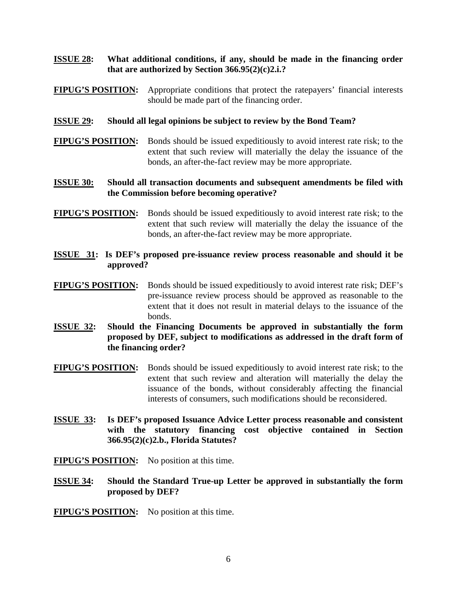## **ISSUE 28: What additional conditions, if any, should be made in the financing order that are authorized by Section 366.95(2)(c)2.i.?**

**FIPUG'S POSITION:** Appropriate conditions that protect the ratepayers' financial interests should be made part of the financing order.

### **ISSUE 29: Should all legal opinions be subject to review by the Bond Team?**

**FIPUG'S POSITION:** Bonds should be issued expeditiously to avoid interest rate risk; to the extent that such review will materially the delay the issuance of the bonds, an after-the-fact review may be more appropriate.

## **ISSUE 30: Should all transaction documents and subsequent amendments be filed with the Commission before becoming operative?**

- **FIPUG'S POSITION:** Bonds should be issued expeditiously to avoid interest rate risk; to the extent that such review will materially the delay the issuance of the bonds, an after-the-fact review may be more appropriate.
- **ISSUE 31: Is DEF's proposed pre-issuance review process reasonable and should it be approved?**
- **FIPUG'S POSITION:** Bonds should be issued expeditiously to avoid interest rate risk; DEF's pre-issuance review process should be approved as reasonable to the extent that it does not result in material delays to the issuance of the bonds.
- **ISSUE 32: Should the Financing Documents be approved in substantially the form proposed by DEF, subject to modifications as addressed in the draft form of the financing order?**
- **FIPUG'S POSITION:** Bonds should be issued expeditiously to avoid interest rate risk; to the extent that such review and alteration will materially the delay the issuance of the bonds, without considerably affecting the financial interests of consumers, such modifications should be reconsidered.
- **ISSUE 33: Is DEF's proposed Issuance Advice Letter process reasonable and consistent with the statutory financing cost objective contained in Section 366.95(2)(c)2.b., Florida Statutes?**

**FIPUG'S POSITION:** No position at this time.

**ISSUE 34: Should the Standard True-up Letter be approved in substantially the form proposed by DEF?**

**FIPUG'S POSITION:** No position at this time.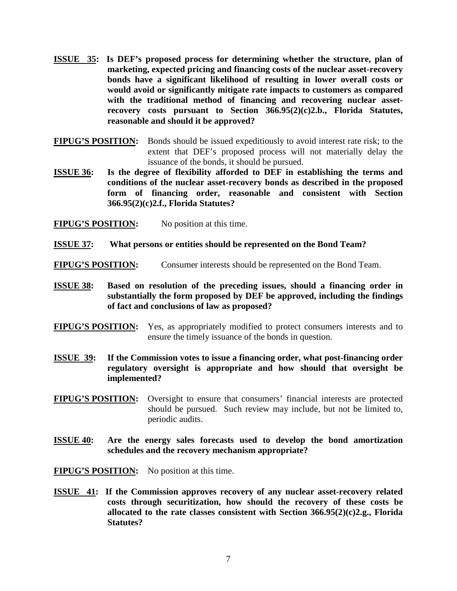- **ISSUE 35: Is DEF's proposed process for determining whether the structure, plan of marketing, expected pricing and financing costs of the nuclear asset-recovery bonds have a significant likelihood of resulting in lower overall costs or would avoid or significantly mitigate rate impacts to customers as compared with the traditional method of financing and recovering nuclear assetrecovery costs pursuant to Section 366.95(2)(c)2.b., Florida Statutes, reasonable and should it be approved?**
- **FIPUG'S POSITION:** Bonds should be issued expeditiously to avoid interest rate risk; to the extent that DEF's proposed process will not materially delay the issuance of the bonds, it should be pursued.
- **ISSUE 36: Is the degree of flexibility afforded to DEF in establishing the terms and conditions of the nuclear asset-recovery bonds as described in the proposed form of financing order, reasonable and consistent with Section 366.95(2)(c)2.f., Florida Statutes?**
- **FIPUG'S POSITION:** No position at this time.
- **ISSUE 37: What persons or entities should be represented on the Bond Team?**
- **FIPUG'S POSITION:** Consumer interests should be represented on the Bond Team.
- **ISSUE 38: Based on resolution of the preceding issues, should a financing order in substantially the form proposed by DEF be approved, including the findings of fact and conclusions of law as proposed?**
- **FIPUG'S POSITION:** Yes, as appropriately modified to protect consumers interests and to ensure the timely issuance of the bonds in question.
- **ISSUE 39: If the Commission votes to issue a financing order, what post-financing order regulatory oversight is appropriate and how should that oversight be implemented?**
- **FIPUG'S POSITION:** Oversight to ensure that consumers' financial interests are protected should be pursued. Such review may include, but not be limited to, periodic audits.
- **ISSUE 40: Are the energy sales forecasts used to develop the bond amortization schedules and the recovery mechanism appropriate?**
- **FIPUG'S POSITION:** No position at this time.
- **ISSUE 41: If the Commission approves recovery of any nuclear asset-recovery related costs through securitization, how should the recovery of these costs be allocated to the rate classes consistent with Section 366.95(2)(c)2.g., Florida Statutes?**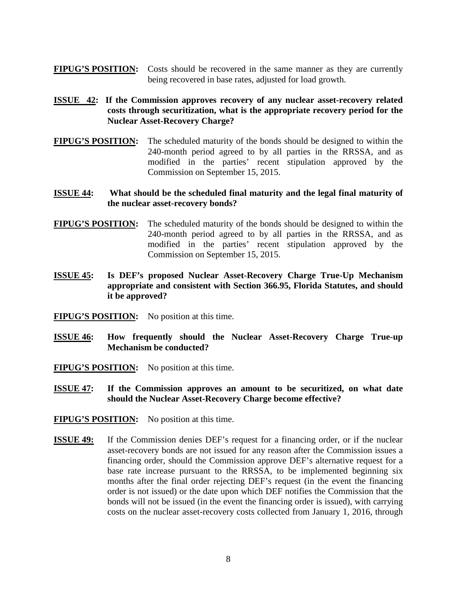- **FIPUG'S POSITION:** Costs should be recovered in the same manner as they are currently being recovered in base rates, adjusted for load growth.
- **ISSUE 42: If the Commission approves recovery of any nuclear asset-recovery related costs through securitization, what is the appropriate recovery period for the Nuclear Asset-Recovery Charge?**
- **FIPUG'S POSITION:** The scheduled maturity of the bonds should be designed to within the 240-month period agreed to by all parties in the RRSSA, and as modified in the parties' recent stipulation approved by the Commission on September 15, 2015.
- **ISSUE 44: What should be the scheduled final maturity and the legal final maturity of the nuclear asset-recovery bonds?**
- **FIPUG'S POSITION:** The scheduled maturity of the bonds should be designed to within the 240-month period agreed to by all parties in the RRSSA, and as modified in the parties' recent stipulation approved by the Commission on September 15, 2015.
- **ISSUE 45: Is DEF's proposed Nuclear Asset-Recovery Charge True-Up Mechanism appropriate and consistent with Section 366.95, Florida Statutes, and should it be approved?**
- **FIPUG'S POSITION:** No position at this time.
- **ISSUE 46: How frequently should the Nuclear Asset-Recovery Charge True-up Mechanism be conducted?**
- **FIPUG'S POSITION:** No position at this time.
- **ISSUE 47: If the Commission approves an amount to be securitized, on what date should the Nuclear Asset-Recovery Charge become effective?**
- **FIPUG'S POSITION:** No position at this time.
- **ISSUE 49:** If the Commission denies DEF's request for a financing order, or if the nuclear asset-recovery bonds are not issued for any reason after the Commission issues a financing order, should the Commission approve DEF's alternative request for a base rate increase pursuant to the RRSSA, to be implemented beginning six months after the final order rejecting DEF's request (in the event the financing order is not issued) or the date upon which DEF notifies the Commission that the bonds will not be issued (in the event the financing order is issued), with carrying costs on the nuclear asset-recovery costs collected from January 1, 2016, through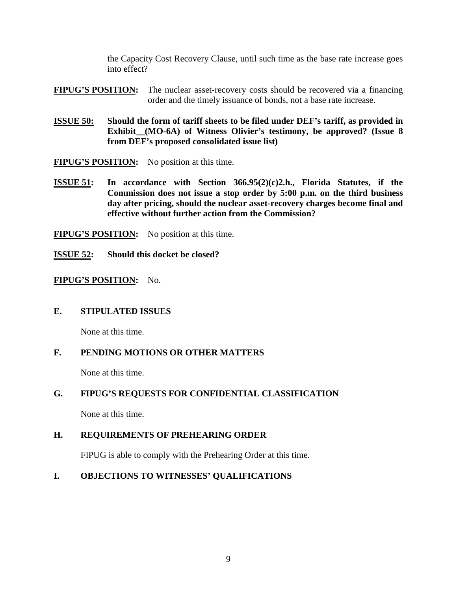the Capacity Cost Recovery Clause, until such time as the base rate increase goes into effect?

**FIPUG'S POSITION:** The nuclear asset-recovery costs should be recovered via a financing order and the timely issuance of bonds, not a base rate increase.

**ISSUE 50: Should the form of tariff sheets to be filed under DEF's tariff, as provided in Exhibit\_\_(MO-6A) of Witness Olivier's testimony, be approved? (Issue 8 from DEF's proposed consolidated issue list)**

**FIPUG'S POSITION:** No position at this time.

- **ISSUE 51: In accordance with Section 366.95(2)(c)2.h., Florida Statutes, if the Commission does not issue a stop order by 5:00 p.m. on the third business day after pricing, should the nuclear asset-recovery charges become final and effective without further action from the Commission?**
- **FIPUG'S POSITION:** No position at this time.
- **ISSUE 52: Should this docket be closed?**

#### **FIPUG'S POSITION:** No.

#### **E. STIPULATED ISSUES**

None at this time.

## **F. PENDING MOTIONS OR OTHER MATTERS**

None at this time.

## **G. FIPUG'S REQUESTS FOR CONFIDENTIAL CLASSIFICATION**

None at this time.

## **H. REQUIREMENTS OF PREHEARING ORDER**

FIPUG is able to comply with the Prehearing Order at this time.

## **I. OBJECTIONS TO WITNESSES' QUALIFICATIONS**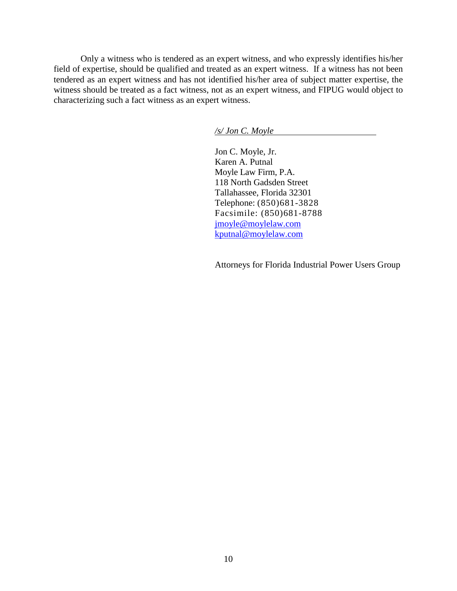Only a witness who is tendered as an expert witness, and who expressly identifies his/her field of expertise, should be qualified and treated as an expert witness. If a witness has not been tendered as an expert witness and has not identified his/her area of subject matter expertise, the witness should be treated as a fact witness, not as an expert witness, and FIPUG would object to characterizing such a fact witness as an expert witness.

*/s/ Jon C. Moyle* 

Jon C. Moyle, Jr. Karen A. Putnal Moyle Law Firm, P.A. 118 North Gadsden Street Tallahassee, Florida 32301 Telephone: (850)681-3828 Facsimile: (850)681-8788 [jmoyle@moylelaw.com](mailto:jmoyle@moylelaw.com) [kputnal@moylelaw.com](mailto:kputnal@moylelaw.com) 

Attorneys for Florida Industrial Power Users Group